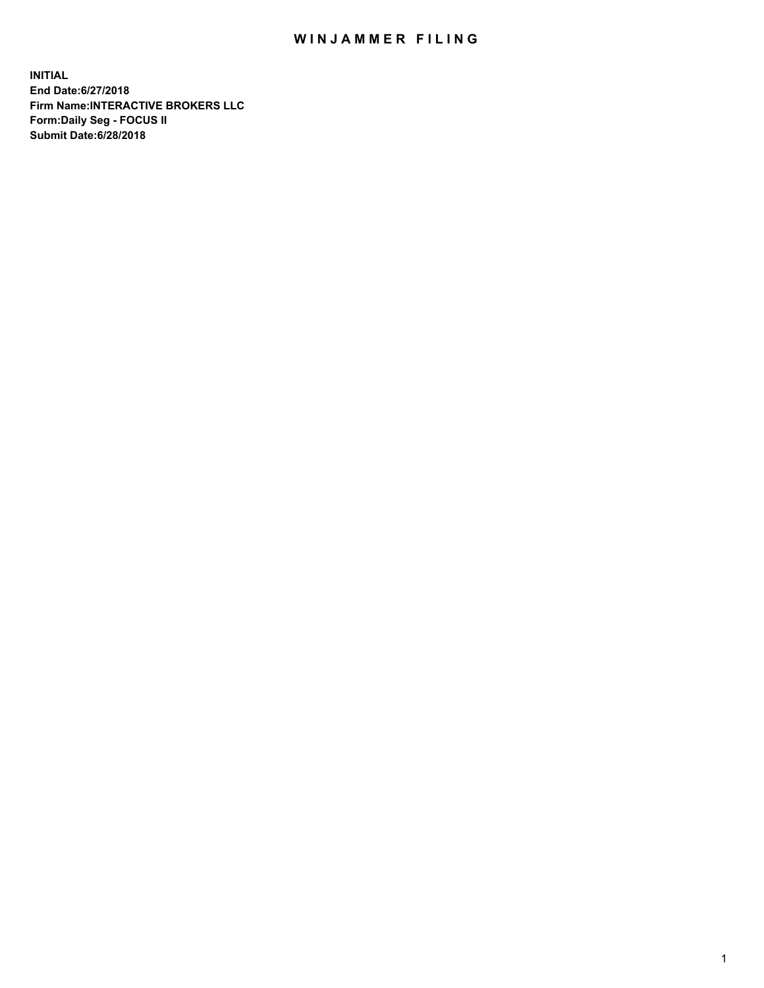## WIN JAMMER FILING

**INITIAL End Date:6/27/2018 Firm Name:INTERACTIVE BROKERS LLC Form:Daily Seg - FOCUS II Submit Date:6/28/2018**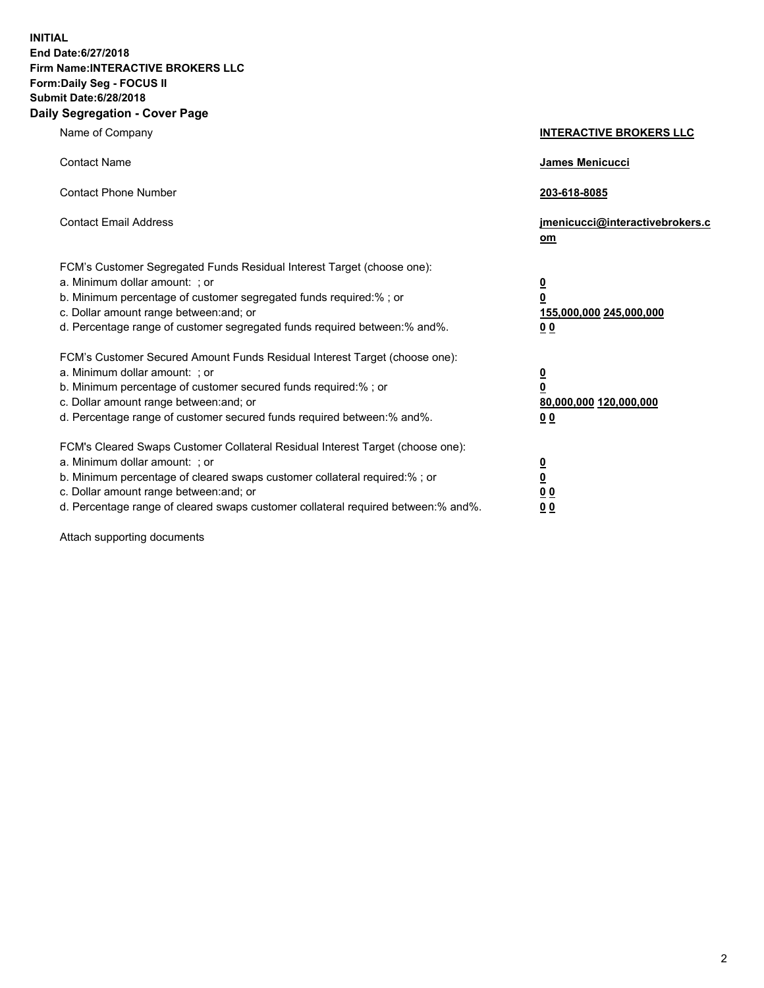**INITIAL End Date:6/27/2018 Firm Name:INTERACTIVE BROKERS LLC Form:Daily Seg - FOCUS II Submit Date:6/28/2018 Daily Segregation - Cover Page**

| Name of Company                                                                                                                                                                                                                                                                                                                | <b>INTERACTIVE BROKERS LLC</b>                                                                  |
|--------------------------------------------------------------------------------------------------------------------------------------------------------------------------------------------------------------------------------------------------------------------------------------------------------------------------------|-------------------------------------------------------------------------------------------------|
| <b>Contact Name</b>                                                                                                                                                                                                                                                                                                            | James Menicucci                                                                                 |
| <b>Contact Phone Number</b>                                                                                                                                                                                                                                                                                                    | 203-618-8085                                                                                    |
| <b>Contact Email Address</b>                                                                                                                                                                                                                                                                                                   | jmenicucci@interactivebrokers.c<br>om                                                           |
| FCM's Customer Segregated Funds Residual Interest Target (choose one):<br>a. Minimum dollar amount: ; or<br>b. Minimum percentage of customer segregated funds required:% ; or<br>c. Dollar amount range between: and; or<br>d. Percentage range of customer segregated funds required between:% and%.                         | $\overline{\mathbf{0}}$<br>$\overline{\mathbf{0}}$<br>155,000,000 245,000,000<br>0 <sub>0</sub> |
| FCM's Customer Secured Amount Funds Residual Interest Target (choose one):<br>a. Minimum dollar amount: ; or<br>b. Minimum percentage of customer secured funds required:% ; or<br>c. Dollar amount range between: and; or<br>d. Percentage range of customer secured funds required between:% and%.                           | $\overline{\mathbf{0}}$<br>0<br>80,000,000 120,000,000<br>0 <sub>0</sub>                        |
| FCM's Cleared Swaps Customer Collateral Residual Interest Target (choose one):<br>a. Minimum dollar amount: ; or<br>b. Minimum percentage of cleared swaps customer collateral required:% ; or<br>c. Dollar amount range between: and; or<br>d. Percentage range of cleared swaps customer collateral required between:% and%. | $\overline{\mathbf{0}}$<br><u>0</u><br>$\underline{0}$ $\underline{0}$<br>00                    |

Attach supporting documents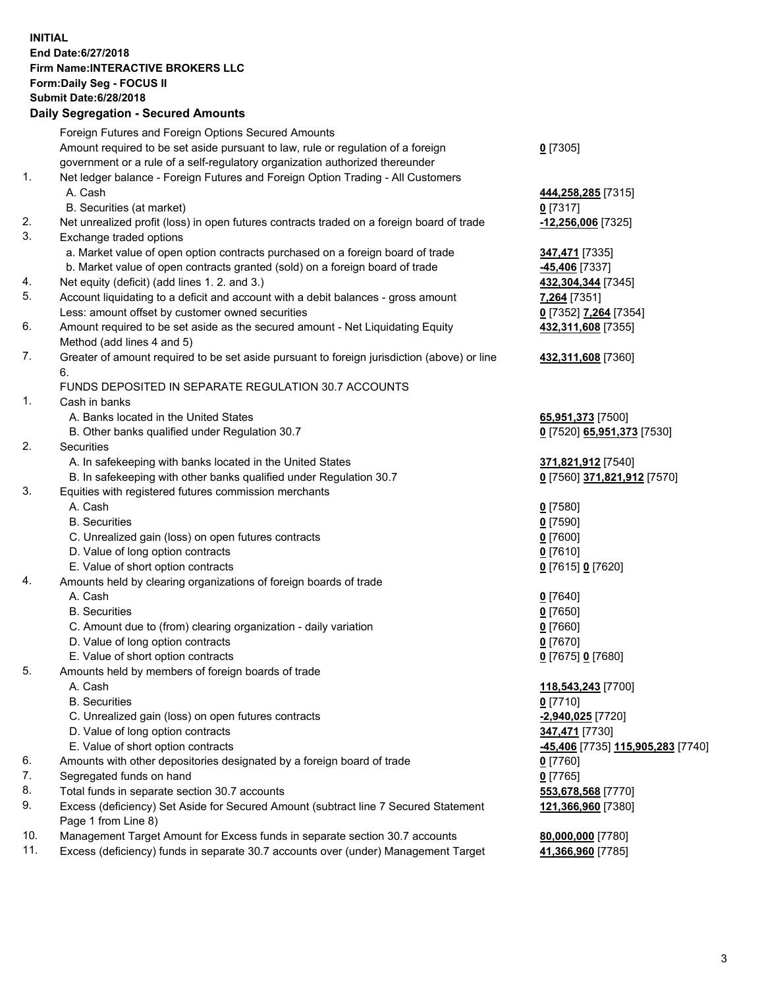## **INITIAL End Date:6/27/2018 Firm Name:INTERACTIVE BROKERS LLC Form:Daily Seg - FOCUS II Submit Date:6/28/2018 Daily Segregation - Secured Amounts**

|     | Dany Ocgregation - oceaned Anioante                                                               |                                                       |
|-----|---------------------------------------------------------------------------------------------------|-------------------------------------------------------|
|     | Foreign Futures and Foreign Options Secured Amounts                                               |                                                       |
|     | Amount required to be set aside pursuant to law, rule or regulation of a foreign                  | $0$ [7305]                                            |
|     | government or a rule of a self-regulatory organization authorized thereunder                      |                                                       |
| 1.  | Net ledger balance - Foreign Futures and Foreign Option Trading - All Customers                   |                                                       |
|     | A. Cash                                                                                           | 444,258,285 [7315]                                    |
|     | B. Securities (at market)                                                                         | $0$ [7317]                                            |
| 2.  | Net unrealized profit (loss) in open futures contracts traded on a foreign board of trade         | 12,256,006 [7325]                                     |
| 3.  | Exchange traded options                                                                           |                                                       |
|     | a. Market value of open option contracts purchased on a foreign board of trade                    | 347,471 [7335]                                        |
|     | b. Market value of open contracts granted (sold) on a foreign board of trade                      | -45,406 <sup>[7337]</sup>                             |
| 4.  | Net equity (deficit) (add lines 1.2. and 3.)                                                      | 432,304,344 [7345]                                    |
| 5.  | Account liquidating to a deficit and account with a debit balances - gross amount                 | 7,264 [7351]                                          |
|     | Less: amount offset by customer owned securities                                                  | 0 [7352] 7,264 [7354]                                 |
| 6.  | Amount required to be set aside as the secured amount - Net Liquidating Equity                    | 432,311,608 [7355]                                    |
|     | Method (add lines 4 and 5)                                                                        |                                                       |
| 7.  | Greater of amount required to be set aside pursuant to foreign jurisdiction (above) or line<br>6. | 432,311,608 [7360]                                    |
|     | FUNDS DEPOSITED IN SEPARATE REGULATION 30.7 ACCOUNTS                                              |                                                       |
| 1.  | Cash in banks                                                                                     |                                                       |
|     | A. Banks located in the United States                                                             | 65,951,373 [7500]                                     |
|     | B. Other banks qualified under Regulation 30.7                                                    | 0 [7520] 65,951,373 [7530]                            |
| 2.  | Securities                                                                                        |                                                       |
|     | A. In safekeeping with banks located in the United States                                         | 371,821,912 [7540]                                    |
|     | B. In safekeeping with other banks qualified under Regulation 30.7                                | 0 [7560] 371,821,912 [7570]                           |
| 3.  | Equities with registered futures commission merchants                                             |                                                       |
|     | A. Cash                                                                                           | $0$ [7580]                                            |
|     | <b>B.</b> Securities                                                                              | $0$ [7590]                                            |
|     | C. Unrealized gain (loss) on open futures contracts                                               | $0$ [7600]                                            |
|     | D. Value of long option contracts                                                                 | $0$ [7610]                                            |
|     | E. Value of short option contracts                                                                | 0 [7615] 0 [7620]                                     |
| 4.  | Amounts held by clearing organizations of foreign boards of trade                                 |                                                       |
|     | A. Cash                                                                                           | $0$ [7640]                                            |
|     | <b>B.</b> Securities                                                                              | $0$ [7650]                                            |
|     | C. Amount due to (from) clearing organization - daily variation                                   | $0$ [7660]                                            |
|     | D. Value of long option contracts                                                                 | $0$ [7670]                                            |
|     | E. Value of short option contracts                                                                | 0 [7675] 0 [7680]                                     |
| 5.  | Amounts held by members of foreign boards of trade                                                |                                                       |
|     | A. Cash                                                                                           | 118,543,243 [7700]                                    |
|     | <b>B.</b> Securities                                                                              | $0$ [7710]                                            |
|     | C. Unrealized gain (loss) on open futures contracts                                               | -2,940,025 [7720]                                     |
|     | D. Value of long option contracts                                                                 | 347,471 [7730]                                        |
|     | E. Value of short option contracts                                                                | <mark>-45,406</mark> [7735] <u>115,905,283</u> [7740] |
| 6.  | Amounts with other depositories designated by a foreign board of trade                            | $0$ [7760]                                            |
| 7.  | Segregated funds on hand                                                                          | $0$ [7765]                                            |
| 8.  | Total funds in separate section 30.7 accounts                                                     | 553,678,568 [7770]                                    |
| 9.  | Excess (deficiency) Set Aside for Secured Amount (subtract line 7 Secured Statement               | 121,366,960 [7380]                                    |
|     | Page 1 from Line 8)                                                                               |                                                       |
| 10. | Management Target Amount for Excess funds in separate section 30.7 accounts                       | 80,000,000 [7780]                                     |
| 11. | Excess (deficiency) funds in separate 30.7 accounts over (under) Management Target                | 41,366,960 [7785]                                     |
|     |                                                                                                   |                                                       |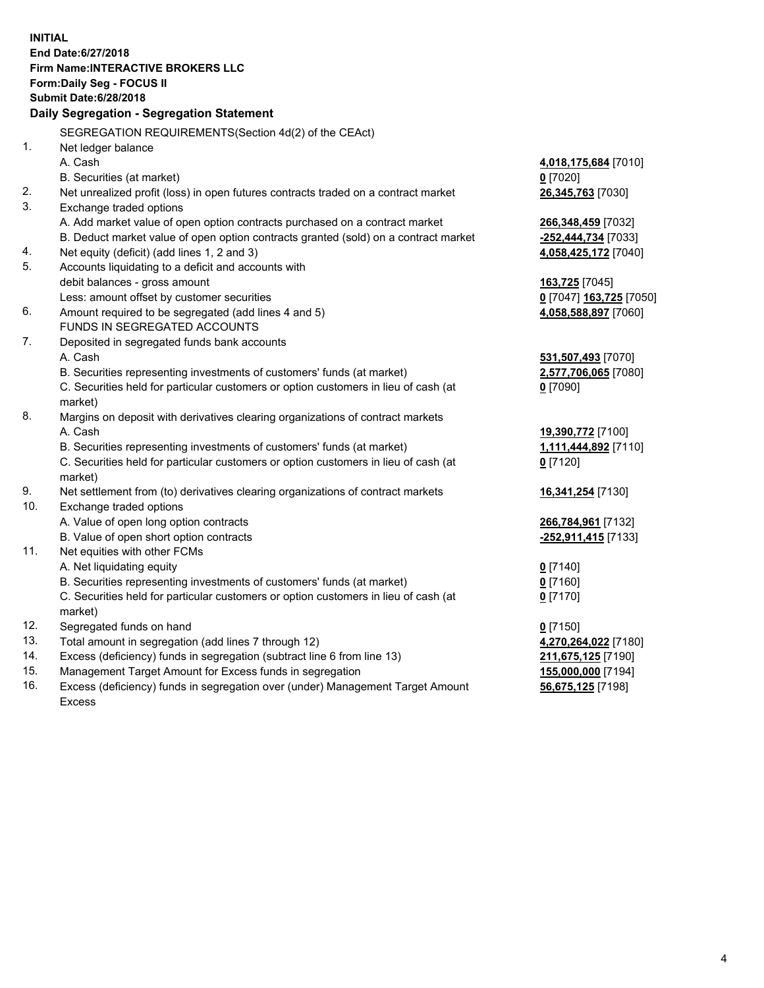**INITIAL End Date:6/27/2018 Firm Name:INTERACTIVE BROKERS LLC Form:Daily Seg - FOCUS II Submit Date:6/28/2018 Daily Segregation - Segregation Statement** SEGREGATION REQUIREMENTS(Section 4d(2) of the CEAct) 1. Net ledger balance A. Cash **4,018,175,684** [7010] B. Securities (at market) **0** [7020] 2. Net unrealized profit (loss) in open futures contracts traded on a contract market **26,345,763** [7030] 3. Exchange traded options A. Add market value of open option contracts purchased on a contract market **266,348,459** [7032] B. Deduct market value of open option contracts granted (sold) on a contract market **-252,444,734** [7033] 4. Net equity (deficit) (add lines 1, 2 and 3) **4,058,425,172** [7040] 5. Accounts liquidating to a deficit and accounts with debit balances - gross amount **163,725** [7045] Less: amount offset by customer securities **0** [7047] **163,725** [7050] 6. Amount required to be segregated (add lines 4 and 5) **4,058,588,897** [7060] FUNDS IN SEGREGATED ACCOUNTS 7. Deposited in segregated funds bank accounts A. Cash **531,507,493** [7070] B. Securities representing investments of customers' funds (at market) **2,577,706,065** [7080] C. Securities held for particular customers or option customers in lieu of cash (at market) **0** [7090] 8. Margins on deposit with derivatives clearing organizations of contract markets A. Cash **19,390,772** [7100] B. Securities representing investments of customers' funds (at market) **1,111,444,892** [7110] C. Securities held for particular customers or option customers in lieu of cash (at market) **0** [7120] 9. Net settlement from (to) derivatives clearing organizations of contract markets **16,341,254** [7130] 10. Exchange traded options A. Value of open long option contracts **266,784,961** [7132] B. Value of open short option contracts **-252,911,415** [7133] 11. Net equities with other FCMs A. Net liquidating equity **0** [7140] B. Securities representing investments of customers' funds (at market) **0** [7160] C. Securities held for particular customers or option customers in lieu of cash (at market) **0** [7170] 12. Segregated funds on hand **0** [7150] 13. Total amount in segregation (add lines 7 through 12) **4,270,264,022** [7180] 14. Excess (deficiency) funds in segregation (subtract line 6 from line 13) **211,675,125** [7190] 15. Management Target Amount for Excess funds in segregation **155,000,000** [7194] **56,675,125** [7198]

16. Excess (deficiency) funds in segregation over (under) Management Target Amount Excess